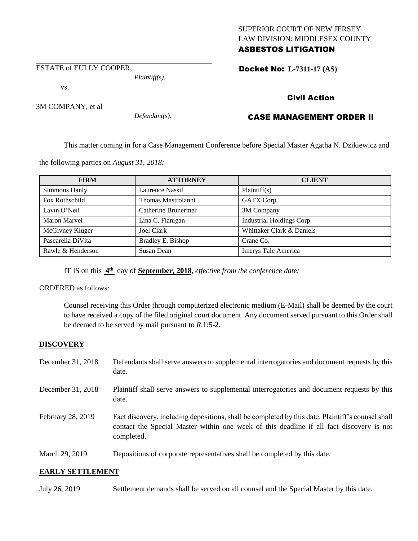### SUPERIOR COURT OF NEW JERSEY LAW DIVISION: MIDDLESEX COUNTY ASBESTOS LITIGATION

ESTATE of EULLY COOPER,

vs.

3M COMPANY, et al

*Defendant(s).*

*Plaintiff(s),*

## Docket No: **L-7311-17 (AS)**

## Civil Action

# CASE MANAGEMENT ORDER II

This matter coming in for a Case Management Conference before Special Master Agatha N. Dzikiewicz and

the following parties on *August 31, 2018:*

| <b>FIRM</b>       | <b>ATTORNEY</b>     | <b>CLIENT</b>             |
|-------------------|---------------------|---------------------------|
| Simmons Hanly     | Laurence Nassif     | Plaintiff(s)              |
| Fox Rothschild    | Thomas Mastroianni  | GATX Corp.                |
| Lavin O'Neil      | Catherine Brunermer | 3M Company                |
| Maron Marvel      | Lina C. Flanigan    | Industrial Holdings Corp. |
| McGivney Kluger   | Joel Clark          | Whittaker Clark & Daniels |
| Pascarella DiVita | Bradley E. Bishop   | Crane Co.                 |
| Rawle & Henderson | Susan Dean          | Imerys Talc America       |

IT IS on this  $4^{\text{th}}$  day of **September, 2018**, *effective from the conference date*;

ORDERED as follows:

Counsel receiving this Order through computerized electronic medium (E-Mail) shall be deemed by the court to have received a copy of the filed original court document. Any document served pursuant to this Order shall be deemed to be served by mail pursuant to *R*.1:5-2.

### **DISCOVERY**

| December 31, 2018 | Defendants shall serve answers to supplemental interrogatories and document requests by this<br>date.                                                                                                       |
|-------------------|-------------------------------------------------------------------------------------------------------------------------------------------------------------------------------------------------------------|
| December 31, 2018 | Plaintiff shall serve answers to supplemental interrogatories and document requests by this<br>date.                                                                                                        |
| February 28, 2019 | Fact discovery, including depositions, shall be completed by this date. Plaintiff's counsel shall<br>contact the Special Master within one week of this deadline if all fact discovery is not<br>completed. |
| March 29, 2019    | Depositions of corporate representatives shall be completed by this date.                                                                                                                                   |

#### **EARLY SETTLEMENT**

July 26, 2019 Settlement demands shall be served on all counsel and the Special Master by this date.